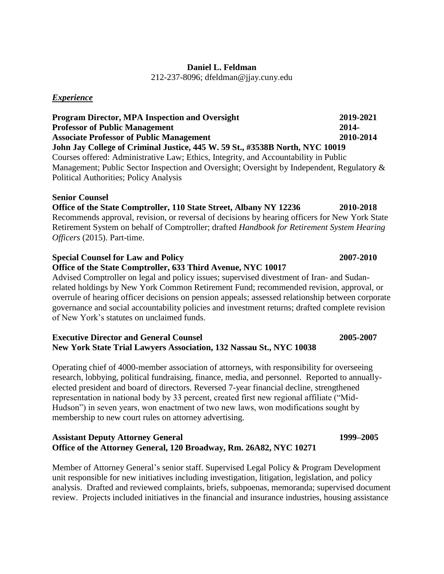# **Daniel L. Feldman**

212-237-8096; dfeldman@jjay.cuny.edu

### *Experience*

**Program Director, MPA Inspection and Oversight 2019-2021 Professor of Public Management 2014- Associate Professor of Public Management 2010-2014 John Jay College of Criminal Justice, 445 W. 59 St., #3538B North, NYC 10019** Courses offered: Administrative Law; Ethics, Integrity, and Accountability in Public Management; Public Sector Inspection and Oversight; Oversight by Independent, Regulatory & Political Authorities; Policy Analysis

### **Senior Counsel**

# **Office of the State Comptroller, 110 State Street, Albany NY 12236 2010-2018** Recommends approval, revision, or reversal of decisions by hearing officers for New York State Retirement System on behalf of Comptroller; drafted *Handbook for Retirement System Hearing Officers* (2015). Part-time.

### **Special Counsel for Law and Policy 2007-2010**

## **Office of the State Comptroller, 633 Third Avenue, NYC 10017**

Advised Comptroller on legal and policy issues; supervised divestment of Iran- and Sudanrelated holdings by New York Common Retirement Fund; recommended revision, approval, or overrule of hearing officer decisions on pension appeals; assessed relationship between corporate governance and social accountability policies and investment returns; drafted complete revision of New York's statutes on unclaimed funds.

### **Executive Director and General Counsel 2005-2007 New York State Trial Lawyers Association, 132 Nassau St., NYC 10038**

Operating chief of 4000-member association of attorneys, with responsibility for overseeing research, lobbying, political fundraising, finance, media, and personnel. Reported to annuallyelected president and board of directors. Reversed 7-year financial decline, strengthened representation in national body by 33 percent, created first new regional affiliate ("Mid-Hudson") in seven years, won enactment of two new laws, won modifications sought by membership to new court rules on attorney advertising.

### **Assistant Deputy Attorney General 1999–2005 Office of the Attorney General, 120 Broadway, Rm. 26A82, NYC 10271**

Member of Attorney General's senior staff. Supervised Legal Policy & Program Development unit responsible for new initiatives including investigation, litigation, legislation, and policy analysis. Drafted and reviewed complaints, briefs, subpoenas, memoranda; supervised document review. Projects included initiatives in the financial and insurance industries, housing assistance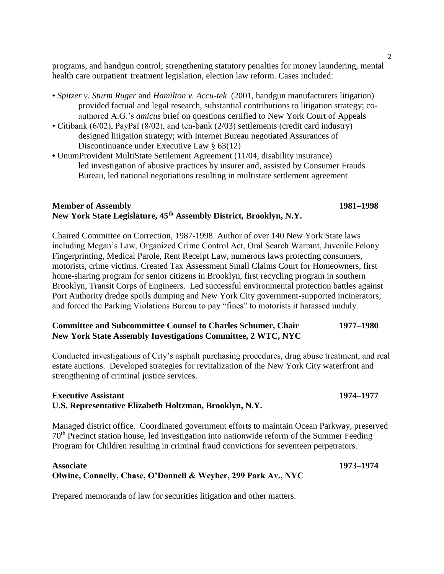programs, and handgun control; strengthening statutory penalties for money laundering, mental health care outpatient treatment legislation, election law reform. Cases included:

- *Spitzer v. Sturm Ruger* and *Hamilton v. Accu-tek* (2001, handgun manufacturers litigation) provided factual and legal research, substantial contributions to litigation strategy; coauthored A.G.'s *amicus* brief on questions certified to New York Court of Appeals
- Citibank (6/02), PayPal (8/02), and ten-bank (2/03) settlements (credit card industry) designed litigation strategy; with Internet Bureau negotiated Assurances of Discontinuance under Executive Law § 63(12)
- UnumProvident MultiState Settlement Agreement (11/04, disability insurance) led investigation of abusive practices by insurer and, assisted by Consumer Frauds Bureau, led national negotiations resulting in multistate settlement agreement

### **Member of Assembly 1981–1998 New York State Legislature, 45th Assembly District, Brooklyn, N.Y.**

Chaired Committee on Correction, 1987-1998. Author of over 140 New York State laws including Megan's Law, Organized Crime Control Act, Oral Search Warrant, Juvenile Felony Fingerprinting, Medical Parole, Rent Receipt Law, numerous laws protecting consumers, motorists, crime victims. Created Tax Assessment Small Claims Court for Homeowners, first home-sharing program for senior citizens in Brooklyn, first recycling program in southern Brooklyn, Transit Corps of Engineers. Led successful environmental protection battles against Port Authority dredge spoils dumping and New York City government-supported incinerators; and forced the Parking Violations Bureau to pay "fines" to motorists it harassed unduly.

### **Committee and Subcommittee Counsel to Charles Schumer, Chair 1977–1980 New York State Assembly Investigations Committee, 2 WTC, NYC**

Conducted investigations of City's asphalt purchasing procedures, drug abuse treatment, and real estate auctions. Developed strategies for revitalization of the New York City waterfront and strengthening of criminal justice services.

### **Executive Assistant 1974–1977 U.S. Representative Elizabeth Holtzman, Brooklyn, N.Y.**

Managed district office. Coordinated government efforts to maintain Ocean Parkway, preserved 70th Precinct station house, led investigation into nationwide reform of the Summer Feeding Program for Children resulting in criminal fraud convictions for seventeen perpetrators.

### **Associate 1973–1974 Olwine, Connelly, Chase, O'Donnell & Weyher, 299 Park Av., NYC**

Prepared memoranda of law for securities litigation and other matters.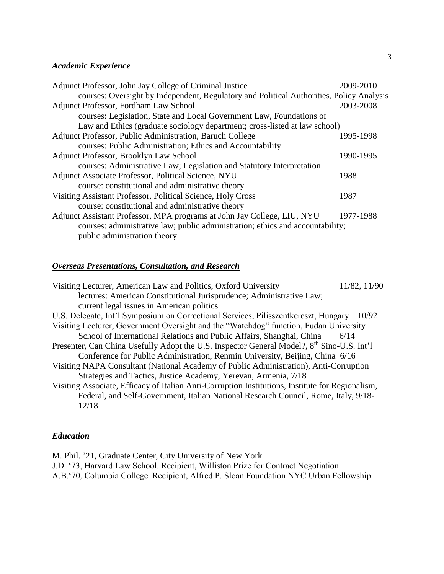# *Academic Experience*

| Adjunct Professor, John Jay College of Criminal Justice                                  | 2009-2010 |
|------------------------------------------------------------------------------------------|-----------|
| courses: Oversight by Independent, Regulatory and Political Authorities, Policy Analysis |           |
| Adjunct Professor, Fordham Law School                                                    | 2003-2008 |
| courses: Legislation, State and Local Government Law, Foundations of                     |           |
| Law and Ethics (graduate sociology department; cross-listed at law school)               |           |
| Adjunct Professor, Public Administration, Baruch College                                 | 1995-1998 |
| courses: Public Administration; Ethics and Accountability                                |           |
| Adjunct Professor, Brooklyn Law School                                                   | 1990-1995 |
| courses: Administrative Law; Legislation and Statutory Interpretation                    |           |
| Adjunct Associate Professor, Political Science, NYU                                      | 1988      |
| course: constitutional and administrative theory                                         |           |
| Visiting Assistant Professor, Political Science, Holy Cross                              | 1987      |
| course: constitutional and administrative theory                                         |           |
| Adjunct Assistant Professor, MPA programs at John Jay College, LIU, NYU                  | 1977-1988 |
| courses: administrative law; public administration; ethics and accountability;           |           |
| public administration theory                                                             |           |

# *Overseas Presentations, Consultation, and Research*

| Visiting Lecturer, American Law and Politics, Oxford University                                        | 11/82, 11/90 |
|--------------------------------------------------------------------------------------------------------|--------------|
| lectures: American Constitutional Jurisprudence; Administrative Law;                                   |              |
| current legal issues in American politics                                                              |              |
| U.S. Delegate, Int'l Symposium on Correctional Services, Pilisszentkereszt, Hungary                    | 10/92        |
| Visiting Lecturer, Government Oversight and the "Watchdog" function, Fudan University                  |              |
| School of International Relations and Public Affairs, Shanghai, China                                  | 6/14         |
| Presenter, Can China Usefully Adopt the U.S. Inspector General Model?, 8 <sup>th</sup> Sino-U.S. Int'l |              |
| Conference for Public Administration, Renmin University, Beijing, China 6/16                           |              |
| Visiting NAPA Consultant (National Academy of Public Administration), Anti-Corruption                  |              |
| Strategies and Tactics, Justice Academy, Yerevan, Armenia, 7/18                                        |              |
| Visiting Associate, Efficacy of Italian Anti-Corruption Institutions, Institute for Regionalism,       |              |
| Federal, and Self-Government, Italian National Research Council, Rome, Italy, 9/18-                    |              |
| 12/18                                                                                                  |              |
|                                                                                                        |              |

# *Education*

M. Phil. '21, Graduate Center, City University of New York J.D. '73, Harvard Law School. Recipient, Williston Prize for Contract Negotiation A.B.'70, Columbia College. Recipient, Alfred P. Sloan Foundation NYC Urban Fellowship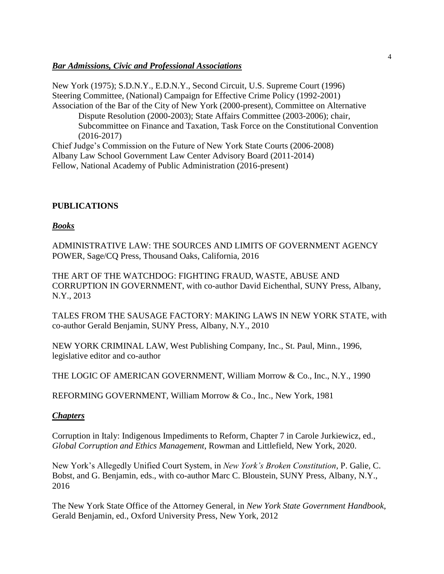### *Bar Admissions, Civic and Professional Associations*

New York (1975); S.D.N.Y., E.D.N.Y., Second Circuit, U.S. Supreme Court (1996) Steering Committee, (National) Campaign for Effective Crime Policy (1992-2001) Association of the Bar of the City of New York (2000-present), Committee on Alternative Dispute Resolution (2000-2003); State Affairs Committee (2003-2006); chair, Subcommittee on Finance and Taxation, Task Force on the Constitutional Convention (2016-2017) Chief Judge's Commission on the Future of New York State Courts (2006-2008) Albany Law School Government Law Center Advisory Board (2011-2014) Fellow, National Academy of Public Administration (2016-present)

### **PUBLICATIONS**

### *Books*

ADMINISTRATIVE LAW: THE SOURCES AND LIMITS OF GOVERNMENT AGENCY POWER, Sage/CQ Press, Thousand Oaks, California, 2016

THE ART OF THE WATCHDOG: FIGHTING FRAUD, WASTE, ABUSE AND CORRUPTION IN GOVERNMENT, with co-author David Eichenthal, SUNY Press, Albany, N.Y., 2013

TALES FROM THE SAUSAGE FACTORY: MAKING LAWS IN NEW YORK STATE, with co-author Gerald Benjamin, SUNY Press, Albany, N.Y., 2010

NEW YORK CRIMINAL LAW, West Publishing Company, Inc., St. Paul, Minn., 1996, legislative editor and co-author

THE LOGIC OF AMERICAN GOVERNMENT, William Morrow & Co., Inc., N.Y., 1990

REFORMING GOVERNMENT, William Morrow & Co., Inc., New York, 1981

### *Chapters*

Corruption in Italy: Indigenous Impediments to Reform, Chapter 7 in Carole Jurkiewicz, ed., *Global Corruption and Ethics Management*, Rowman and Littlefield, New York, 2020.

New York's Allegedly Unified Court System, in *New York's Broken Constitution*, P. Galie, C. Bobst, and G. Benjamin, eds., with co-author Marc C. Bloustein, SUNY Press, Albany, N.Y., 2016

The New York State Office of the Attorney General, in *New York State Government Handbook*, Gerald Benjamin, ed., Oxford University Press, New York, 2012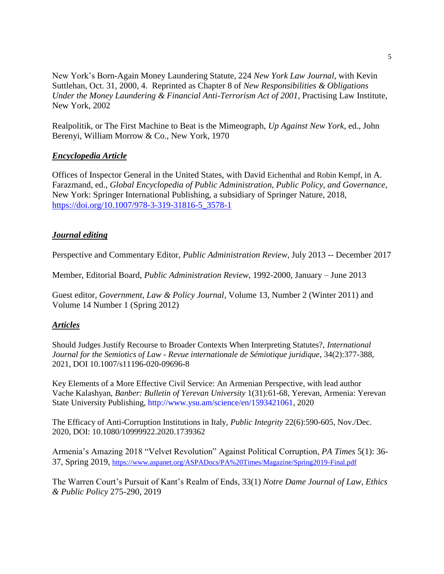New York's Born-Again Money Laundering Statute, 224 *New York Law Journal*, with Kevin Suttlehan, Oct. 31, 2000, 4. Reprinted as Chapter 8 of *New Responsibilities & Obligations Under the Money Laundering & Financial Anti-Terrorism Act of 2001*, Practising Law Institute, New York, 2002

Realpolitik, or The First Machine to Beat is the Mimeograph, *Up Against New York*, ed., John Berenyi, William Morrow & Co., New York, 1970

### *Encyclopedia Article*

Offices of Inspector General in the United States, with David Eichenthal and Robin Kempf, in A. Farazmand, ed., *Global Encyclopedia of Public Administration, Public Policy, and Governance*, New York: Springer International Publishing, a subsidiary of Springer Nature, 2018, [https://doi.org/10.1007/978-3-319-31816-5\\_3578-1](https://doi.org/10.1007/978-3-319-31816-5_3578-1)

## *Journal editing*

Perspective and Commentary Editor, *Public Administration Review*, July 2013 -- December 2017

Member, Editorial Board, *Public Administration Review*, 1992-2000, January – June 2013

Guest editor, *Government, Law & Policy Journal*, Volume 13, Number 2 (Winter 2011) and Volume 14 Number 1 (Spring 2012)

### *Articles*

Should Judges Justify Recourse to Broader Contexts When Interpreting Statutes?, *International Journal for the Semiotics of Law - Revue internationale de Sémiotique juridique*, 34(2):377-388, 2021, DOI 10.1007/s11196-020-09696-8

Key Elements of a More Effective Civil Service: An Armenian Perspective, with lead author Vache Kalashyan, *Banber: Bulletin of Yerevan University* 1(31):61-68, Yerevan, Armenia: Yerevan State University Publishing, http://www.ysu.am/science/en/1593421061, 2020

The Efficacy of Anti-Corruption Institutions in Italy, *Public Integrity* 22(6):590-605, Nov./Dec. 2020, DOI: 10.1080/10999922.2020.1739362

Armenia's Amazing 2018 "Velvet Revolution" Against Political Corruption, *PA Times* 5(1): 36- 37, Spring 2019, <https://www.aspanet.org/ASPADocs/PA%20Times/Magazine/Spring2019-Final.pdf>

The Warren Court's Pursuit of Kant's Realm of Ends, 33(1) *Notre Dame Journal of Law, Ethics & Public Policy* 275-290, 2019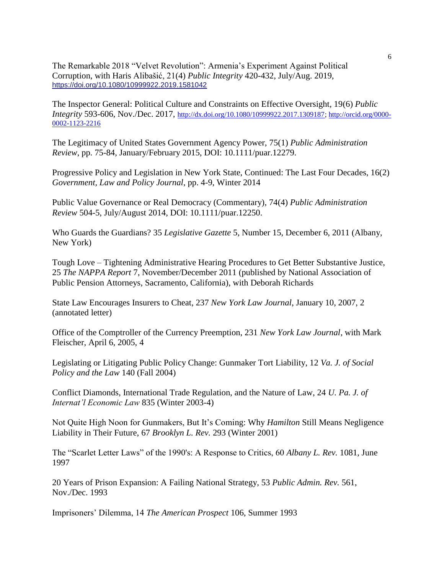The Remarkable 2018 "Velvet Revolution": Armenia's Experiment Against Political Corruption, with Haris Alibašić, 21(4) *Public Integrity* 420-432, July/Aug. 2019, <https://doi.org/10.1080/10999922.2019.1581042>

The Inspector General: Political Culture and Constraints on Effective Oversight, 19(6) *Public Integrity* 593-606, Nov./Dec. 2017, [http://dx.doi.org/10.1080/10999922.2017.1309187;](http://dx.doi.org/10.1080/10999922.2017.1309187) [http://orcid.org/0000-](http://orcid.org/0000-0002-1123-2216) [0002-1123-2216](http://orcid.org/0000-0002-1123-2216)

The Legitimacy of United States Government Agency Power, 75(1) *Public Administration Review*, pp. 75-84, January/February 2015, DOI: 10.1111/puar.12279.

Progressive Policy and Legislation in New York State, Continued: The Last Four Decades, 16(2) *Government, Law and Policy Journal*, pp. 4-9, Winter 2014

Public Value Governance or Real Democracy (Commentary), 74(4) *Public Administration Review* 504-5, July/August 2014, DOI: 10.1111/puar.12250.

Who Guards the Guardians? 35 *Legislative Gazette* 5, Number 15, December 6, 2011 (Albany, New York)

Tough Love – Tightening Administrative Hearing Procedures to Get Better Substantive Justice, 25 *The NAPPA Report* 7, November/December 2011 (published by National Association of Public Pension Attorneys, Sacramento, California), with Deborah Richards

State Law Encourages Insurers to Cheat, 237 *New York Law Journal*, January 10, 2007, 2 (annotated letter)

Office of the Comptroller of the Currency Preemption, 231 *New York Law Journal*, with Mark Fleischer, April 6, 2005, 4

Legislating or Litigating Public Policy Change: Gunmaker Tort Liability, 12 *Va. J. of Social Policy and the Law* 140 (Fall 2004)

Conflict Diamonds, International Trade Regulation, and the Nature of Law, 24 *U. Pa. J. of Internat'l Economic Law* 835 (Winter 2003-4)

Not Quite High Noon for Gunmakers, But It's Coming: Why *Hamilton* Still Means Negligence Liability in Their Future, 67 *Brooklyn L. Rev.* 293 (Winter 2001)

The "Scarlet Letter Laws" of the 1990's: A Response to Critics, 60 *Albany L. Rev.* 1081, June 1997

20 Years of Prison Expansion: A Failing National Strategy, 53 *Public Admin. Rev.* 561, Nov./Dec. 1993

Imprisoners' Dilemma, 14 *The American Prospect* 106, Summer 1993